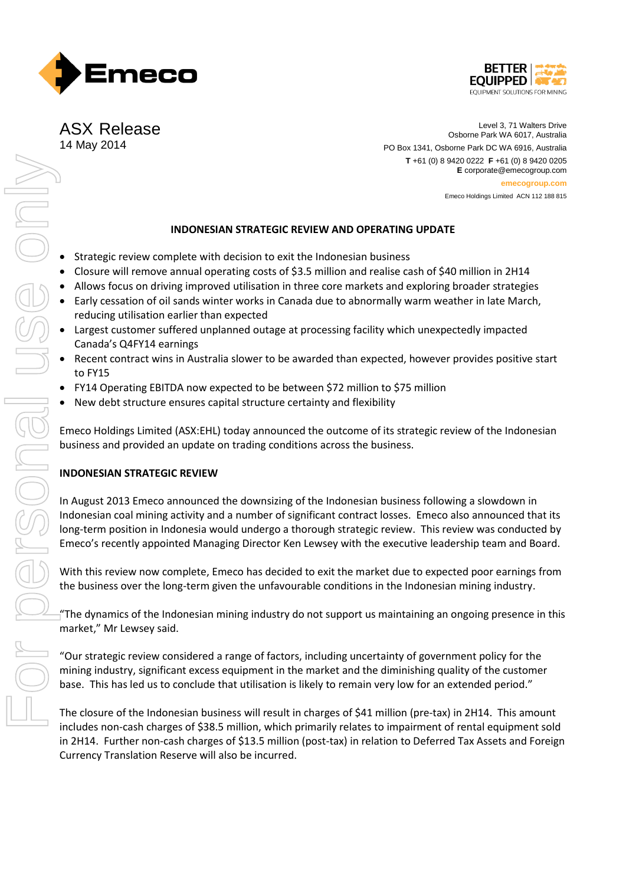



ASX Release 14 May 2014

Level 3, 71 Walters Drive Osborne Park WA 6017, Australia PO Box 1341, Osborne Park DC WA 6916, Australia **T** +61 (0) 8 9420 0222 **F** +61 (0) 8 9420 0205 **E** corporate@emecogroup.com **emecogroup.com** Emeco Holdings Limited ACN 112 188 815

## **INDONESIAN STRATEGIC REVIEW AND OPERATING UPDATE**

- Strategic review complete with decision to exit the Indonesian business
- Closure will remove annual operating costs of \$3.5 million and realise cash of \$40 million in 2H14
- Allows focus on driving improved utilisation in three core markets and exploring broader strategies
- Early cessation of oil sands winter works in Canada due to abnormally warm weather in late March, reducing utilisation earlier than expected
- Largest customer suffered unplanned outage at processing facility which unexpectedly impacted Canada's Q4FY14 earnings
- Recent contract wins in Australia slower to be awarded than expected, however provides positive start to FY15
- FY14 Operating EBITDA now expected to be between \$72 million to \$75 million
- New debt structure ensures capital structure certainty and flexibility

Emeco Holdings Limited (ASX:EHL) today announced the outcome of its strategic review of the Indonesian business and provided an update on trading conditions across the business.

# **INDONESIAN STRATEGIC REVIEW**

In August 2013 Emeco announced the downsizing of the Indonesian business following a slowdown in Indonesian coal mining activity and a number of significant contract losses. Emeco also announced that its long-term position in Indonesia would undergo a thorough strategic review. This review was conducted by Emeco's recently appointed Managing Director Ken Lewsey with the executive leadership team and Board.

With this review now complete, Emeco has decided to exit the market due to expected poor earnings from the business over the long-term given the unfavourable conditions in the Indonesian mining industry.

"The dynamics of the Indonesian mining industry do not support us maintaining an ongoing presence in this market," Mr Lewsey said.

"Our strategic review considered a range of factors, including uncertainty of government policy for the mining industry, significant excess equipment in the market and the diminishing quality of the customer base. This has led us to conclude that utilisation is likely to remain very low for an extended period."

The closure of the Indonesian business will result in charges of \$41 million (pre-tax) in 2H14. This amount includes non-cash charges of \$38.5 million, which primarily relates to impairment of rental equipment sold in 2H14. Further non-cash charges of \$13.5 million (post-tax) in relation to Deferred Tax Assets and Foreign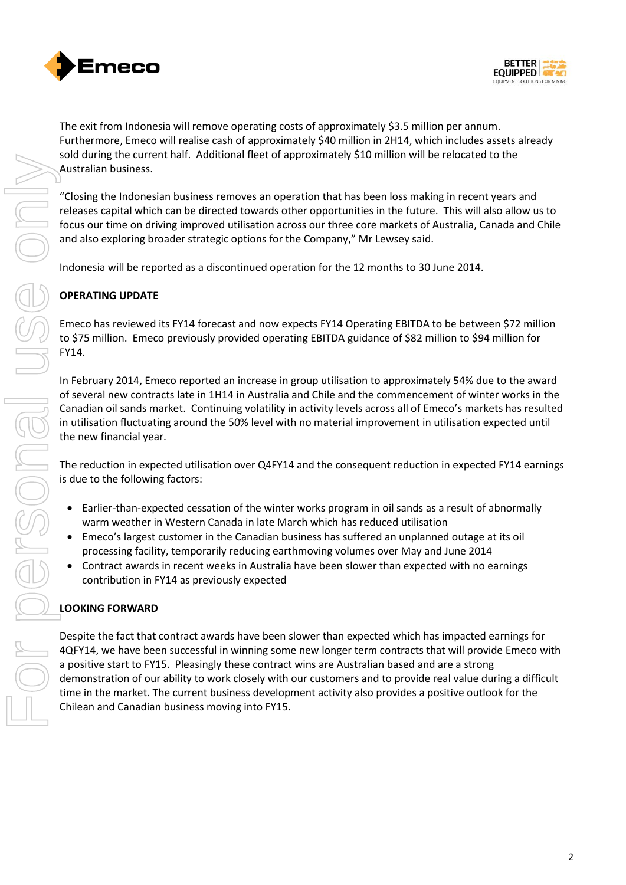



The exit from Indonesia will remove operating costs of approximately \$3.5 million per annum. Furthermore, Emeco will realise cash of approximately \$40 million in 2H14, which includes assets already sold during the current half. Additional fleet of approximately \$10 million will be relocated to the Australian business.

"Closing the Indonesian business removes an operation that has been loss making in recent years and releases capital which can be directed towards other opportunities in the future. This will also allow us to focus our time on driving improved utilisation across our three core markets of Australia, Canada and Chile and also exploring broader strategic options for the Company," Mr Lewsey said.

Indonesia will be reported as a discontinued operation for the 12 months to 30 June 2014.

# **OPERATING UPDATE**

Emeco has reviewed its FY14 forecast and now expects FY14 Operating EBITDA to be between \$72 million to \$75 million. Emeco previously provided operating EBITDA guidance of \$82 million to \$94 million for FY14.

In February 2014, Emeco reported an increase in group utilisation to approximately 54% due to the award of several new contracts late in 1H14 in Australia and Chile and the commencement of winter works in the Canadian oil sands market. Continuing volatility in activity levels across all of Emeco's markets has resulted in utilisation fluctuating around the 50% level with no material improvement in utilisation expected until the new financial year.

The reduction in expected utilisation over Q4FY14 and the consequent reduction in expected FY14 earnings is due to the following factors:

- Earlier-than-expected cessation of the winter works program in oil sands as a result of abnormally warm weather in Western Canada in late March which has reduced utilisation
- Emeco's largest customer in the Canadian business has suffered an unplanned outage at its oil processing facility, temporarily reducing earthmoving volumes over May and June 2014
- Contract awards in recent weeks in Australia have been slower than expected with no earnings contribution in FY14 as previously expected

# **LOOKING FORWARD**

Despite the fact that contract awards have been slower than expected which has impacted earnings for 4QFY14, we have been successful in winning some new longer term contracts that will provide Emeco with a positive start to FY15. Pleasingly these contract wins are Australian based and are a strong demonstration of our ability to work closely with our customers and to provide real value during a difficult time in the market. The current business development activity also provides a positive outlook for the